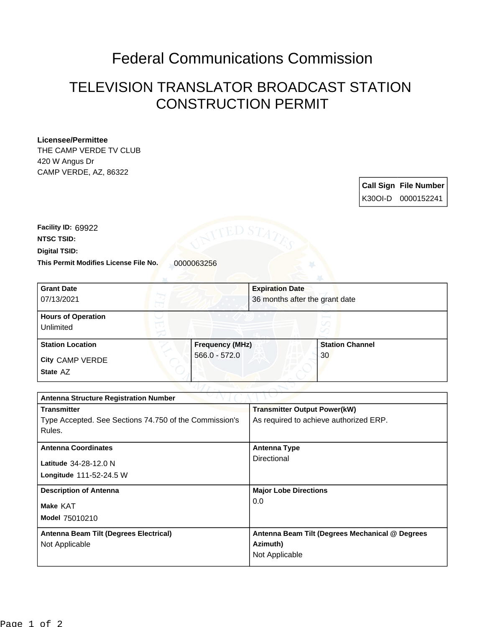## Federal Communications Commission

## TELEVISION TRANSLATOR BROADCAST STATION CONSTRUCTION PERMIT

## **Licensee/Permittee**

THE CAMP VERDE TV CLUB 420 W Angus Dr CAMP VERDE, AZ, 86322

| <b>Call Sign File Number</b> |
|------------------------------|
| l K30OI-D 0000152241         |

**This Permit Modifies License File No.** 0000063256 **Digital TSID: NTSC TSID: Facility ID:** 69922

| <b>Grant Date</b><br>07/13/2021        |                        | <b>Expiration Date</b><br>36 months after the grant date |
|----------------------------------------|------------------------|----------------------------------------------------------|
| <b>Hours of Operation</b><br>Unlimited |                        | v                                                        |
| <b>Station Location</b>                | <b>Frequency (MHz)</b> | <b>Station Channel</b>                                   |
| City CAMP VERDE                        | $566.0 - 572.0$        | 30                                                       |
| State AZ                               |                        |                                                          |

| <b>Antenna Structure Registration Number</b>           |                                                 |  |
|--------------------------------------------------------|-------------------------------------------------|--|
| <b>Transmitter</b>                                     | <b>Transmitter Output Power(kW)</b>             |  |
| Type Accepted. See Sections 74.750 of the Commission's | As required to achieve authorized ERP.          |  |
| Rules.                                                 |                                                 |  |
| <b>Antenna Coordinates</b>                             | <b>Antenna Type</b>                             |  |
| Latitude 34-28-12.0 N                                  | Directional                                     |  |
| Longitude 111-52-24.5 W                                |                                                 |  |
| <b>Description of Antenna</b>                          | <b>Major Lobe Directions</b>                    |  |
| Make KAT                                               | 0.0                                             |  |
| Model 75010210                                         |                                                 |  |
| Antenna Beam Tilt (Degrees Electrical)                 | Antenna Beam Tilt (Degrees Mechanical @ Degrees |  |
| Not Applicable                                         | Azimuth)                                        |  |
|                                                        | Not Applicable                                  |  |